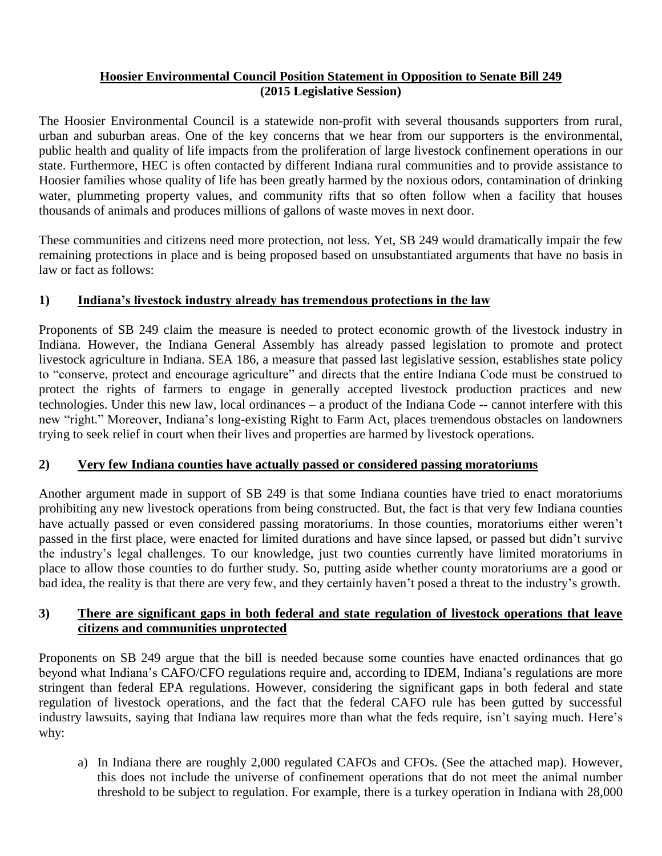#### **Hoosier Environmental Council Position Statement in Opposition to Senate Bill 249 (2015 Legislative Session)**

The Hoosier Environmental Council is a statewide non-profit with several thousands supporters from rural, urban and suburban areas. One of the key concerns that we hear from our supporters is the environmental, public health and quality of life impacts from the proliferation of large livestock confinement operations in our state. Furthermore, HEC is often contacted by different Indiana rural communities and to provide assistance to Hoosier families whose quality of life has been greatly harmed by the noxious odors, contamination of drinking water, plummeting property values, and community rifts that so often follow when a facility that houses thousands of animals and produces millions of gallons of waste moves in next door.

These communities and citizens need more protection, not less. Yet, SB 249 would dramatically impair the few remaining protections in place and is being proposed based on unsubstantiated arguments that have no basis in law or fact as follows:

## **1) Indiana's livestock industry already has tremendous protections in the law**

Proponents of SB 249 claim the measure is needed to protect economic growth of the livestock industry in Indiana. However, the Indiana General Assembly has already passed legislation to promote and protect livestock agriculture in Indiana. SEA 186, a measure that passed last legislative session, establishes state policy to "conserve, protect and encourage agriculture" and directs that the entire Indiana Code must be construed to protect the rights of farmers to engage in generally accepted livestock production practices and new technologies. Under this new law, local ordinances – a product of the Indiana Code -- cannot interfere with this new "right." Moreover, Indiana's long-existing Right to Farm Act, places tremendous obstacles on landowners trying to seek relief in court when their lives and properties are harmed by livestock operations.

### **2) Very few Indiana counties have actually passed or considered passing moratoriums**

Another argument made in support of SB 249 is that some Indiana counties have tried to enact moratoriums prohibiting any new livestock operations from being constructed. But, the fact is that very few Indiana counties have actually passed or even considered passing moratoriums. In those counties, moratoriums either weren't passed in the first place, were enacted for limited durations and have since lapsed, or passed but didn't survive the industry's legal challenges. To our knowledge, just two counties currently have limited moratoriums in place to allow those counties to do further study. So, putting aside whether county moratoriums are a good or bad idea, the reality is that there are very few, and they certainly haven't posed a threat to the industry's growth.

### **3) There are significant gaps in both federal and state regulation of livestock operations that leave citizens and communities unprotected**

Proponents on SB 249 argue that the bill is needed because some counties have enacted ordinances that go beyond what Indiana's CAFO/CFO regulations require and, according to IDEM, Indiana's regulations are more stringent than federal EPA regulations. However, considering the significant gaps in both federal and state regulation of livestock operations, and the fact that the federal CAFO rule has been gutted by successful industry lawsuits, saying that Indiana law requires more than what the feds require, isn't saying much. Here's why:

a) In Indiana there are roughly 2,000 regulated CAFOs and CFOs. (See the attached map). However, this does not include the universe of confinement operations that do not meet the animal number threshold to be subject to regulation. For example, there is a turkey operation in Indiana with 28,000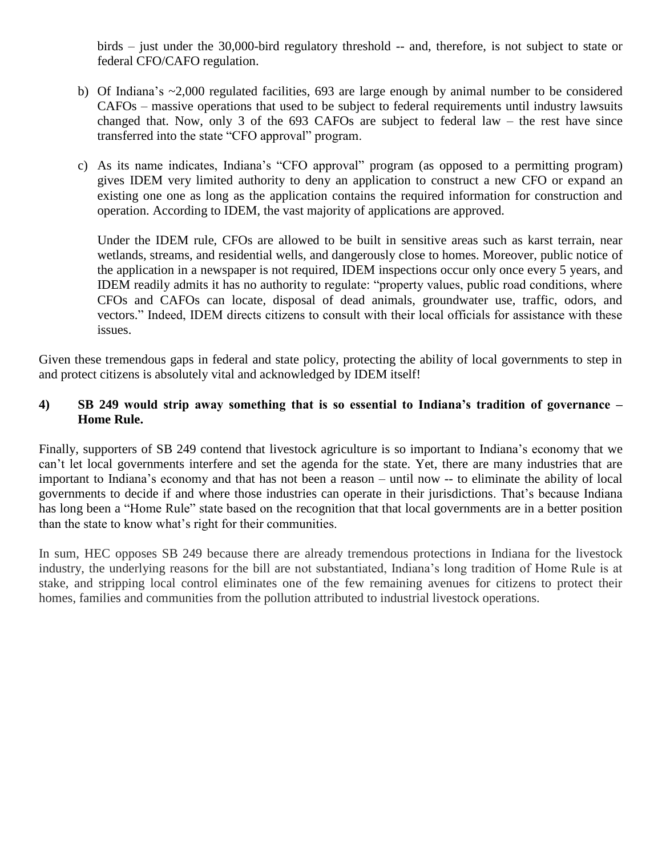birds – just under the 30,000-bird regulatory threshold -- and, therefore, is not subject to state or federal CFO/CAFO regulation.

- b) Of Indiana's ~2,000 regulated facilities, 693 are large enough by animal number to be considered CAFOs – massive operations that used to be subject to federal requirements until industry lawsuits changed that. Now, only 3 of the 693 CAFOs are subject to federal law – the rest have since transferred into the state "CFO approval" program.
- c) As its name indicates, Indiana's "CFO approval" program (as opposed to a permitting program) gives IDEM very limited authority to deny an application to construct a new CFO or expand an existing one one as long as the application contains the required information for construction and operation. According to IDEM, the vast majority of applications are approved.

Under the IDEM rule, CFOs are allowed to be built in sensitive areas such as karst terrain, near wetlands, streams, and residential wells, and dangerously close to homes. Moreover, public notice of the application in a newspaper is not required, IDEM inspections occur only once every 5 years, and IDEM readily admits it has no authority to regulate: "property values, public road conditions, where CFOs and CAFOs can locate, disposal of dead animals, groundwater use, traffic, odors, and vectors." Indeed, IDEM directs citizens to consult with their local officials for assistance with these issues.

Given these tremendous gaps in federal and state policy, protecting the ability of local governments to step in and protect citizens is absolutely vital and acknowledged by IDEM itself!

### **4) SB 249 would strip away something that is so essential to Indiana's tradition of governance – Home Rule.**

Finally, supporters of SB 249 contend that livestock agriculture is so important to Indiana's economy that we can't let local governments interfere and set the agenda for the state. Yet, there are many industries that are important to Indiana's economy and that has not been a reason – until now -- to eliminate the ability of local governments to decide if and where those industries can operate in their jurisdictions. That's because Indiana has long been a "Home Rule" state based on the recognition that that local governments are in a better position than the state to know what's right for their communities.

In sum, HEC opposes SB 249 because there are already tremendous protections in Indiana for the livestock industry, the underlying reasons for the bill are not substantiated, Indiana's long tradition of Home Rule is at stake, and stripping local control eliminates one of the few remaining avenues for citizens to protect their homes, families and communities from the pollution attributed to industrial livestock operations.